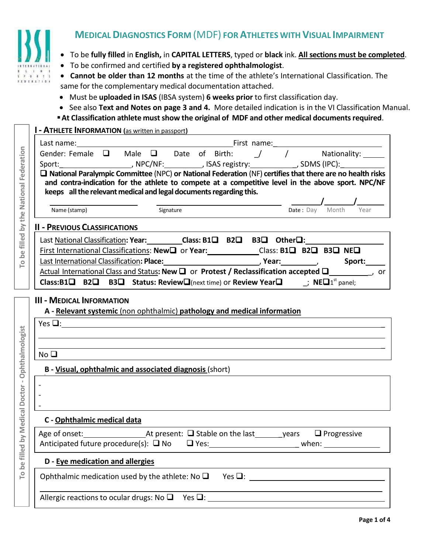

## **MEDICALDIAGNOSTICS FORM** (MDF) **FORATHLETES WITH VISUAL IMPAIRMENT**

- To be **fully filled** in **English,** in **CAPITAL LETTERS**, typed or **black** ink. **All sections must be completed**.
- To be confirmed and certified **by a registered ophthalmologist**.
- **Cannot be older than 12 months** at the time of the athlete's International Classification. The same for the complementary medical documentation attached.
- Must be **uploaded in ISAS** (IBSA system) **6 weeks prior** to first classification day.
- See also **Text and Notes on page 3 and 4.** More detailed indication is in the VI Classification Manual.
- **At Classification athlete mustshow the original of MDF and other medical documentsrequired**.

**I - ATHLETE INFORMATION (**as written in passport**)**

|                                       | Sport: NPC/NF: NEC/NE: USAS registry: NECONS (IPC): USAS NECONS (IPC):                                                                                                                                                                                                                         |  |  |  |  |  |  |  |  |
|---------------------------------------|------------------------------------------------------------------------------------------------------------------------------------------------------------------------------------------------------------------------------------------------------------------------------------------------|--|--|--|--|--|--|--|--|
| be filled by the National Federation  | $\square$ National Paralympic Committee (NPC) or National Federation (NF) certifies that there are no health risks<br>and contra-indication for the athlete to compete at a competitive level in the above sport. NPC/NF<br>keeps all the relevant medical and legal documents regarding this. |  |  |  |  |  |  |  |  |
|                                       | $\frac{1}{\text{Date : Day}}$ Month Year<br>Name (stamp)<br>Signature                                                                                                                                                                                                                          |  |  |  |  |  |  |  |  |
|                                       | <b>II - PREVIOUS CLASSIFICATIONS</b>                                                                                                                                                                                                                                                           |  |  |  |  |  |  |  |  |
|                                       | Last National Classification: Year: Class: B1 <sup>1</sup> B2 <sup>1</sup> B3 <sup>1</sup> Other <sup>1</sup> :                                                                                                                                                                                |  |  |  |  |  |  |  |  |
|                                       | First International Classifications: New $\square$ or Year: ______________Class: B1 $\square$ B2 $\square$ B3 $\square$ NE $\square$                                                                                                                                                           |  |  |  |  |  |  |  |  |
| $\overline{\phantom{0}}$              |                                                                                                                                                                                                                                                                                                |  |  |  |  |  |  |  |  |
|                                       | Actual International Class and Status: New $\square$ or Protest / Reclassification accepted $\square$ __________, or<br><b>Class:B1<math>\Box</math></b> B2 $\Box$ B3 $\Box$ Status: Review $\Box$ (next time) or Review Year $\Box$ $\Box$ ; NE $\Box$ <sup>st</sup> panel;                   |  |  |  |  |  |  |  |  |
|                                       |                                                                                                                                                                                                                                                                                                |  |  |  |  |  |  |  |  |
|                                       | <b>III - MEDICAL INFORMATION</b>                                                                                                                                                                                                                                                               |  |  |  |  |  |  |  |  |
|                                       | A - Relevant systemic (non ophthalmic) pathology and medical information                                                                                                                                                                                                                       |  |  |  |  |  |  |  |  |
|                                       | Yes $\Box$ :                                                                                                                                                                                                                                                                                   |  |  |  |  |  |  |  |  |
|                                       | <u> 1989 - Johann Stoff, amerikansk politiker (d. 1989)</u>                                                                                                                                                                                                                                    |  |  |  |  |  |  |  |  |
| Ophthalmologist                       | <u> 1989 - Johann Stoff, amerikansk politiker (d. 1989)</u><br>No <sub>Q</sub>                                                                                                                                                                                                                 |  |  |  |  |  |  |  |  |
|                                       |                                                                                                                                                                                                                                                                                                |  |  |  |  |  |  |  |  |
|                                       | B - Visual, ophthalmic and associated diagnosis (short)                                                                                                                                                                                                                                        |  |  |  |  |  |  |  |  |
|                                       |                                                                                                                                                                                                                                                                                                |  |  |  |  |  |  |  |  |
|                                       |                                                                                                                                                                                                                                                                                                |  |  |  |  |  |  |  |  |
|                                       |                                                                                                                                                                                                                                                                                                |  |  |  |  |  |  |  |  |
|                                       | C - Ophthalmic medical data                                                                                                                                                                                                                                                                    |  |  |  |  |  |  |  |  |
| by Medical Doctor -<br>$\overline{a}$ | Age of onset: $\Box$ At present: $\Box$ Stable on the last _______ years $\Box$ Progressive                                                                                                                                                                                                    |  |  |  |  |  |  |  |  |
| fille<br><u>be</u>                    | D - Eye medication and allergies                                                                                                                                                                                                                                                               |  |  |  |  |  |  |  |  |
| $\overline{\phantom{a}}^{\circ}$      | Ophthalmic medication used by the athlete: No $\square$<br>$Yes \Box:$                                                                                                                                                                                                                         |  |  |  |  |  |  |  |  |
|                                       |                                                                                                                                                                                                                                                                                                |  |  |  |  |  |  |  |  |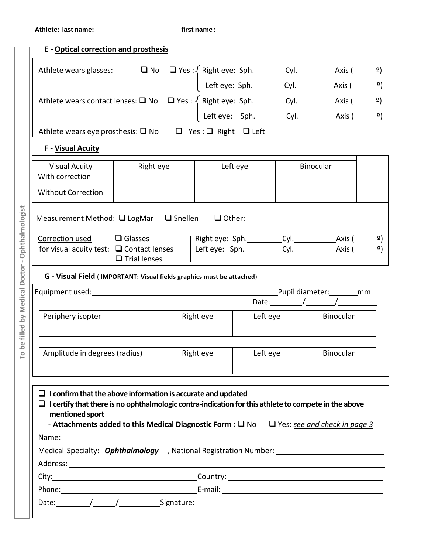To be filled by Medical Doctor - Ophthalmologist

|                                                                                                                                                                                                                                                                                                      |                     |           |           |          |                                     | º)       |
|------------------------------------------------------------------------------------------------------------------------------------------------------------------------------------------------------------------------------------------------------------------------------------------------------|---------------------|-----------|-----------|----------|-------------------------------------|----------|
|                                                                                                                                                                                                                                                                                                      |                     |           |           |          |                                     | $\Omega$ |
|                                                                                                                                                                                                                                                                                                      |                     |           |           |          |                                     | $\Omega$ |
|                                                                                                                                                                                                                                                                                                      |                     |           |           |          |                                     | 의        |
| Athlete wears eye prosthesis: $\square$ No $\square$ Yes : $\square$ Right $\square$ Left                                                                                                                                                                                                            |                     |           |           |          |                                     |          |
| F - Visual Acuity                                                                                                                                                                                                                                                                                    |                     |           |           |          |                                     |          |
| <b>Visual Acuity</b>                                                                                                                                                                                                                                                                                 | Right eye           |           |           | Left eye | Binocular                           |          |
| With correction                                                                                                                                                                                                                                                                                      |                     |           |           |          |                                     |          |
| <b>Without Correction</b>                                                                                                                                                                                                                                                                            |                     |           |           |          |                                     |          |
| Measurement Method: $\Box$ LogMar $\Box$ Snellen $\Box$ Other:                                                                                                                                                                                                                                       |                     |           |           |          |                                     |          |
| Correction used □ Glasses   Right eye: Sph. Cyl. Cyl. Axis (                                                                                                                                                                                                                                         |                     |           |           |          |                                     | $\Omega$ |
|                                                                                                                                                                                                                                                                                                      | $\Box$ Trial lenses |           |           |          |                                     | $\Omega$ |
| G - Visual Field ( IMPORTANT: Visual fields graphics must be attached)                                                                                                                                                                                                                               |                     |           |           |          |                                     |          |
| Equipment used: The Contract of the Contract of the Contract of the Contract of the Contract of the Contract of Turking and Turking and Turking and Turking and Turking and Turking and Turking and Turking and Turking and Tu                                                                       |                     |           |           |          |                                     |          |
|                                                                                                                                                                                                                                                                                                      |                     |           |           |          | Date: $\frac{1}{\sqrt{2\pi}}$       |          |
| Periphery isopter                                                                                                                                                                                                                                                                                    |                     | Right eye |           |          | Left eye   Binocular                |          |
|                                                                                                                                                                                                                                                                                                      |                     |           |           |          |                                     |          |
|                                                                                                                                                                                                                                                                                                      |                     |           |           |          |                                     |          |
| Amplitude in degrees (radius)                                                                                                                                                                                                                                                                        |                     |           | Right eye | Left eye | Binocular                           |          |
| $\Box$ I confirm that the above information is accurate and updated<br>$\Box$ I certify that there is no ophthalmologic contra-indication for this athlete to compete in the above<br>mentioned sport                                                                                                |                     |           |           |          |                                     |          |
| - Attachments added to this Medical Diagnostic Form : $\square$ No<br>Name: and the same of the same of the same of the same of the same of the same of the same of the same of the same of the same of the same of the same of the same of the same of the same of the same of the same of the same |                     |           |           |          | $\Box$ Yes: see and check in page 3 |          |
| Medical Specialty: Ophthalmology , National Registration Number: ________________                                                                                                                                                                                                                    |                     |           |           |          |                                     |          |
|                                                                                                                                                                                                                                                                                                      |                     |           |           |          |                                     |          |
|                                                                                                                                                                                                                                                                                                      |                     |           |           |          |                                     |          |